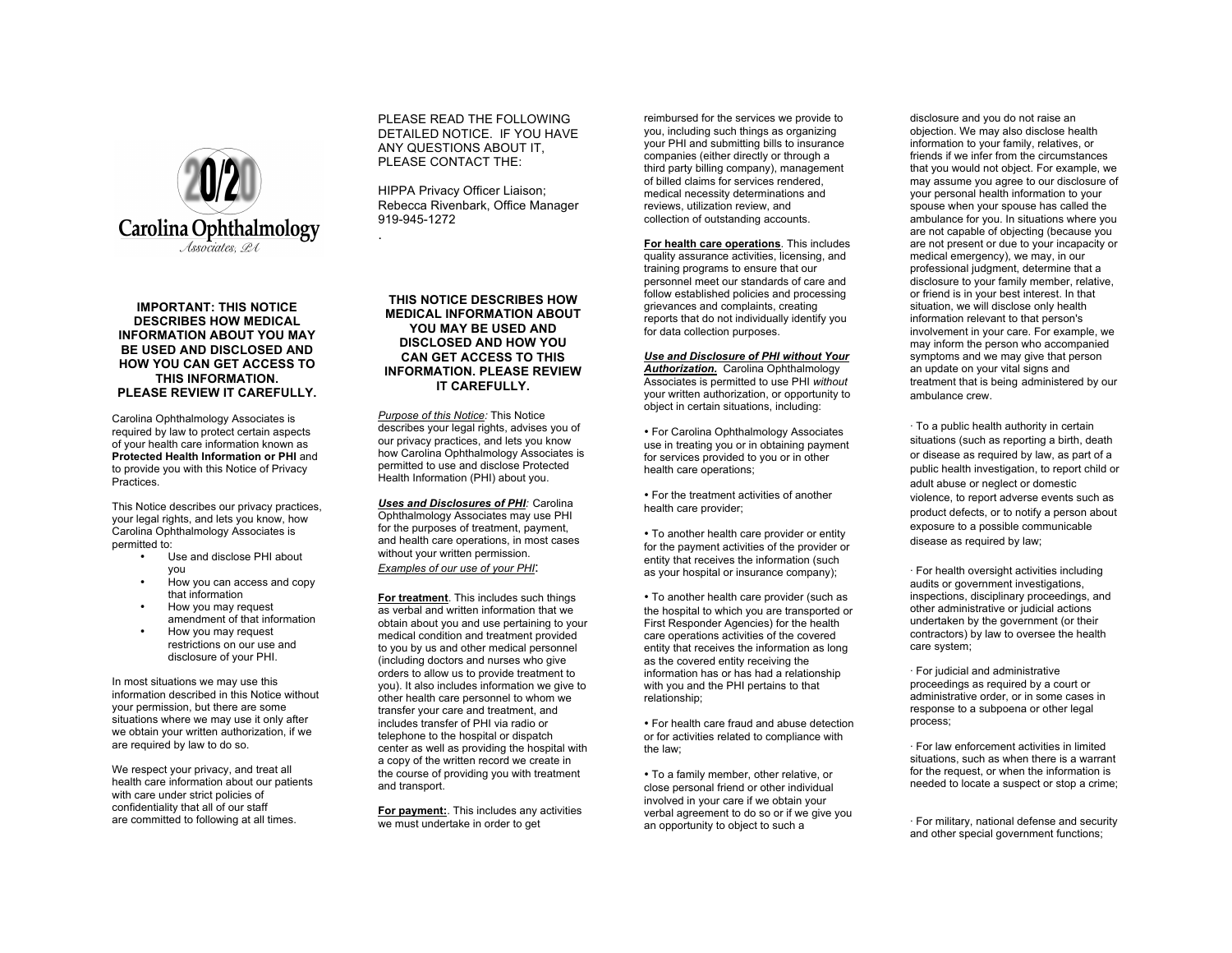

## **IMPORTANT: THIS NOTICE DESCRIBES HOW MEDICAL INFORMATION ABOUT YOU MAY BE USED AND DISCLOSED AND HOW YOU CAN GET ACCESS TO THIS INFORMATION. PLEASE REVIEW IT CAREFULLY.**

Carolina Ophthalmology Associates is required by law to protect certain aspects of your health care information known as **Protected Health Information or PHI** and to provide you with this Notice of Privacy Practices.

This Notice describes our privacy practices, your legal rights, and lets you know, how Carolina Ophthalmology Associates is permitted to:

- Use and disclose PHI about you
- How you can access and copy that information
- How you may request amendment of that information
- How you may request restrictions on our use and disclosure of your PHI.

In most situations we may use this information described in this Notice without your permission, but there are some situations where we may use it only after we obtain your written authorization, if we are required by law to do so.

We respect your privacy, and treat all health care information about our patients with care under strict policies of confidentiality that all of our staff are committed to following at all times.

PLEASE READ THE FOLLOWING DETAILED NOTICE. IF YOU HAVE ANY QUESTIONS ABOUT IT, PLEASE CONTACT THE:

HIPPA Privacy Officer Liaison; Rebecca Rivenbark, Office Manager 919-945-1272 .

**THIS NOTICE DESCRIBES HOW MEDICAL INFORMATION ABOUT YOU MAY BE USED AND DISCLOSED AND HOW YOU CAN GET ACCESS TO THIS INFORMATION. PLEASE REVIEW IT CAREFULLY.**

*Purpose of this Notice:* This Notice describes your legal rights, advises you of our privacy practices, and lets you know how Carolina Ophthalmology Associates is permitted to use and disclose Protected Health Information (PHI) about you.

*Uses and Disclosures of PHI:* Carolina Ophthalmology Associates may use PHI for the purposes of treatment, payment, and health care operations, in most cases without your written permission. *Examples of our use of your PHI*:

**For treatment**. This includes such things as verbal and written information that we obtain about you and use pertaining to your medical condition and treatment provided to you by us and other medical personnel (including doctors and nurses who give orders to allow us to provide treatment to you). It also includes information we give to other health care personnel to whom we transfer your care and treatment, and includes transfer of PHI via radio or telephone to the hospital or dispatch center as well as providing the hospital with a copy of the written record we create in the course of providing you with treatment and transport.

**For payment:**. This includes any activities we must undertake in order to get

reimbursed for the services we provide to you, including such things as organizing your PHI and submitting bills to insurance companies (either directly or through a third party billing company), management of billed claims for services rendered, medical necessity determinations and reviews, utilization review, and collection of outstanding accounts.

**For health care operations**. This includes quality assurance activities, licensing, and training programs to ensure that our personnel meet our standards of care and follow established policies and processing grievances and complaints, creating reports that do not individually identify you for data collection purposes.

## *Use and Disclosure of PHI without Your*

**Authorization.** Carolina Ophthalmology Associates is permitted to use PHI *without*  your written authorization, or opportunity to object in certain situations, including:

• For Carolina Ophthalmology Associates use in treating you or in obtaining payment for services provided to you or in other health care operations;

• For the treatment activities of another health care provider;

• To another health care provider or entity for the payment activities of the provider or entity that receives the information (such as your hospital or insurance company);

• To another health care provider (such as the hospital to which you are transported or First Responder Agencies) for the health care operations activities of the covered entity that receives the information as long as the covered entity receiving the information has or has had a relationship with you and the PHI pertains to that relationship;

• For health care fraud and abuse detection or for activities related to compliance with the law;

• To a family member, other relative, or close personal friend or other individual involved in your care if we obtain your verbal agreement to do so or if we give you an opportunity to object to such a

disclosure and you do not raise an objection. We may also disclose health information to your family, relatives, or friends if we infer from the circumstances that you would not object. For example, we may assume you agree to our disclosure of your personal health information to your spouse when your spouse has called the ambulance for you. In situations where you are not capable of objecting (because you are not present or due to your incapacity or medical emergency), we may, in our professional judgment, determine that a disclosure to your family member, relative, or friend is in your best interest. In that situation, we will disclose only health information relevant to that person's involvement in your care. For example, we may inform the person who accompanied symptoms and we may give that person an update on your vital signs and treatment that is being administered by our ambulance crew.

· To a public health authority in certain situations (such as reporting a birth, death or disease as required by law, as part of a public health investigation, to report child or adult abuse or neglect or domestic violence, to report adverse events such as product defects, or to notify a person about exposure to a possible communicable disease as required by law;

· For health oversight activities including audits or government investigations. inspections, disciplinary proceedings, and other administrative or judicial actions undertaken by the government (or their contractors) by law to oversee the health care system;

· For judicial and administrative proceedings as required by a court or administrative order, or in some cases in response to a subpoena or other legal process;

· For law enforcement activities in limited situations, such as when there is a warrant for the request, or when the information is needed to locate a suspect or stop a crime;

· For military, national defense and security and other special government functions;